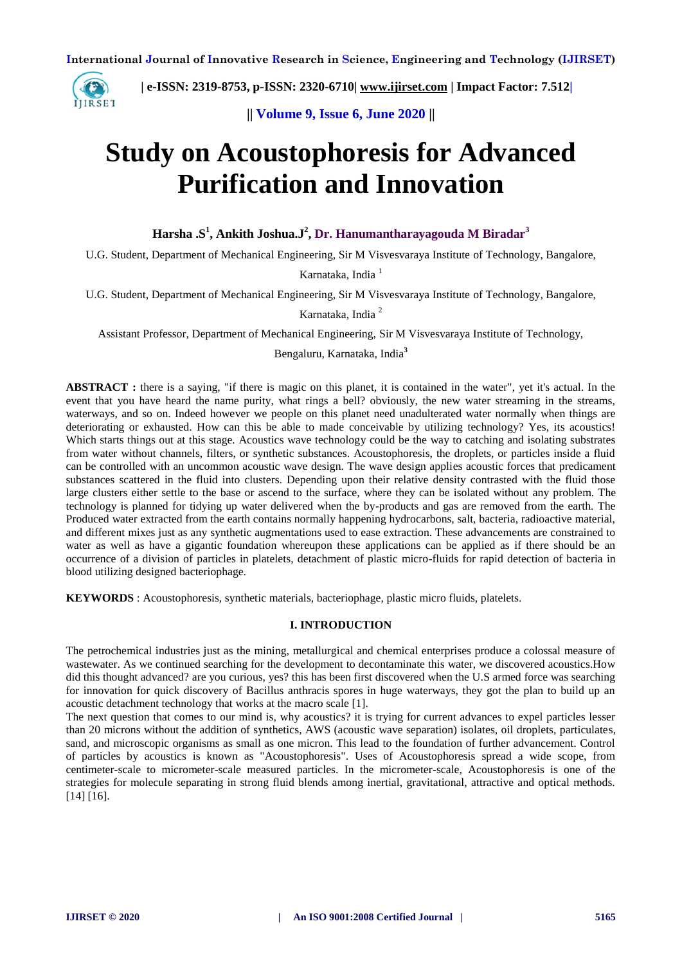

 **| e-ISSN: 2319-8753, p-ISSN: 2320-6710| [www.ijirset.com](http://www.ijirset.com/) | Impact Factor: 7.512|**

**|| Volume 9, Issue 6, June 2020 ||** 

# **Study on Acoustophoresis for Advanced Purification and Innovation**

**Harsha .S<sup>1</sup> , Ankith Joshua.J<sup>2</sup> , Dr. Hanumantharayagouda M Biradar<sup>3</sup>**

U.G. Student, Department of Mechanical Engineering, Sir M Visvesvaraya Institute of Technology, Bangalore,

Karnataka, India<sup>1</sup>

U.G. Student, Department of Mechanical Engineering, Sir M Visvesvaraya Institute of Technology, Bangalore,

Karnataka, India <sup>2</sup>

Assistant Professor, Department of Mechanical Engineering, Sir M Visvesvaraya Institute of Technology,

Bengaluru, Karnataka, India**<sup>3</sup>**

**ABSTRACT :** there is a saying, "if there is magic on this planet, it is contained in the water", yet it's actual. In the event that you have heard the name purity, what rings a bell? obviously, the new water streaming in the streams, waterways, and so on. Indeed however we people on this planet need unadulterated water normally when things are deteriorating or exhausted. How can this be able to made conceivable by utilizing technology? Yes, its acoustics! Which starts things out at this stage. Acoustics wave technology could be the way to catching and isolating substrates from water without channels, filters, or synthetic substances. Acoustophoresis, the droplets, or particles inside a fluid can be controlled with an uncommon acoustic wave design. The wave design applies acoustic forces that predicament substances scattered in the fluid into clusters. Depending upon their relative density contrasted with the fluid those large clusters either settle to the base or ascend to the surface, where they can be isolated without any problem. The technology is planned for tidying up water delivered when the by-products and gas are removed from the earth. The Produced water extracted from the earth contains normally happening hydrocarbons, salt, bacteria, radioactive material, and different mixes just as any synthetic augmentations used to ease extraction. These advancements are constrained to water as well as have a gigantic foundation whereupon these applications can be applied as if there should be an occurrence of a division of particles in platelets, detachment of plastic micro-fluids for rapid detection of bacteria in blood utilizing designed bacteriophage.

**KEYWORDS** : Acoustophoresis, synthetic materials, bacteriophage, plastic micro fluids, platelets.

## **I. INTRODUCTION**

The petrochemical industries just as the mining, metallurgical and chemical enterprises produce a colossal measure of wastewater. As we continued searching for the development to decontaminate this water, we discovered acoustics.How did this thought advanced? are you curious, yes? this has been first discovered when the U.S armed force was searching for innovation for quick discovery of Bacillus anthracis spores in huge waterways, they got the plan to build up an acoustic detachment technology that works at the macro scale [1].

The next question that comes to our mind is, why acoustics? it is trying for current advances to expel particles lesser than 20 microns without the addition of synthetics, AWS (acoustic wave separation) isolates, oil droplets, particulates, sand, and microscopic organisms as small as one micron. This lead to the foundation of further advancement. Control of particles by acoustics is known as "Acoustophoresis". Uses of Acoustophoresis spread a wide scope, from centimeter-scale to micrometer-scale measured particles. In the micrometer-scale, Acoustophoresis is one of the strategies for molecule separating in strong fluid blends among inertial, gravitational, attractive and optical methods. [14] [16].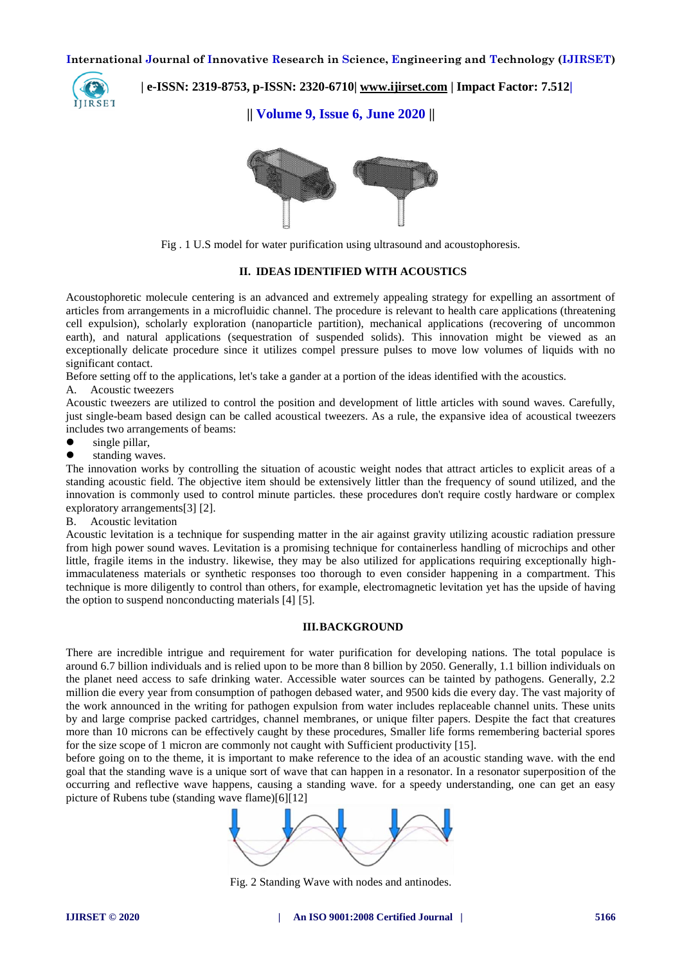

 **| e-ISSN: 2319-8753, p-ISSN: 2320-6710| [www.ijirset.com](http://www.ijirset.com/) | Impact Factor: 7.512|**

**|| Volume 9, Issue 6, June 2020 ||** 



Fig . 1 U.S model for water purification using ultrasound and acoustophoresis.

## **II. IDEAS IDENTIFIED WITH ACOUSTICS**

Acoustophoretic molecule centering is an advanced and extremely appealing strategy for expelling an assortment of articles from arrangements in a microfluidic channel. The procedure is relevant to health care applications (threatening cell expulsion), scholarly exploration (nanoparticle partition), mechanical applications (recovering of uncommon earth), and natural applications (sequestration of suspended solids). This innovation might be viewed as an exceptionally delicate procedure since it utilizes compel pressure pulses to move low volumes of liquids with no significant contact.

Before setting off to the applications, let's take a gander at a portion of the ideas identified with the acoustics.

A. Acoustic tweezers

Acoustic tweezers are utilized to control the position and development of little articles with sound waves. Carefully, just single-beam based design can be called acoustical tweezers. As a rule, the expansive idea of acoustical tweezers includes two arrangements of beams:

- single pillar,
- standing waves.

The innovation works by controlling the situation of acoustic weight nodes that attract articles to explicit areas of a standing acoustic field. The objective item should be extensively littler than the frequency of sound utilized, and the innovation is commonly used to control minute particles. these procedures don't require costly hardware or complex exploratory arrangements[3] [2].

B. Acoustic levitation

Acoustic levitation is a technique for suspending matter in the air against gravity utilizing acoustic radiation pressure from high power sound waves. Levitation is a promising technique for containerless handling of microchips and other little, fragile items in the industry. likewise, they may be also utilized for applications requiring exceptionally highimmaculateness materials or synthetic responses too thorough to even consider happening in a compartment. This technique is more diligently to control than others, for example, electromagnetic levitation yet has the upside of having the option to suspend nonconducting materials [4] [5].

#### **III.BACKGROUND**

There are incredible intrigue and requirement for water purification for developing nations. The total populace is around 6.7 billion individuals and is relied upon to be more than 8 billion by 2050. Generally, 1.1 billion individuals on the planet need access to safe drinking water. Accessible water sources can be tainted by pathogens. Generally, 2.2 million die every year from consumption of pathogen debased water, and 9500 kids die every day. The vast majority of the work announced in the writing for pathogen expulsion from water includes replaceable channel units. These units by and large comprise packed cartridges, channel membranes, or unique filter papers. Despite the fact that creatures more than 10 microns can be effectively caught by these procedures, Smaller life forms remembering bacterial spores for the size scope of 1 micron are commonly not caught with Sufficient productivity [15].

before going on to the theme, it is important to make reference to the idea of an acoustic standing wave. with the end goal that the standing wave is a unique sort of wave that can happen in a resonator. In a resonator superposition of the occurring and reflective wave happens, causing a standing wave. for a speedy understanding, one can get an easy picture of Rubens tube (standing wave flame)[6][12]



Fig. 2 Standing Wave with nodes and antinodes.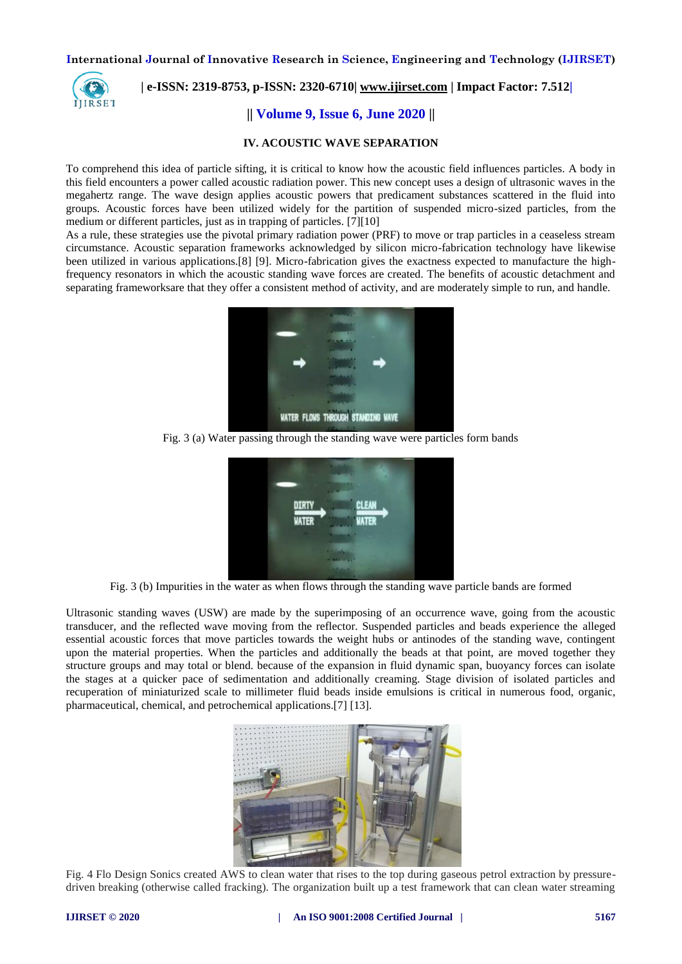

# **| e-ISSN: 2319-8753, p-ISSN: 2320-6710| [www.ijirset.com](http://www.ijirset.com/) | Impact Factor: 7.512|**

## **|| Volume 9, Issue 6, June 2020 ||**

#### **IV. ACOUSTIC WAVE SEPARATION**

To comprehend this idea of particle sifting, it is critical to know how the acoustic field influences particles. A body in this field encounters a power called acoustic radiation power. This new concept uses a design of ultrasonic waves in the megahertz range. The wave design applies acoustic powers that predicament substances scattered in the fluid into groups. Acoustic forces have been utilized widely for the partition of suspended micro-sized particles, from the medium or different particles, just as in trapping of particles. [7][10]

As a rule, these strategies use the pivotal primary radiation power (PRF) to move or trap particles in a ceaseless stream circumstance. Acoustic separation frameworks acknowledged by silicon micro-fabrication technology have likewise been utilized in various applications.[8] [9]. Micro-fabrication gives the exactness expected to manufacture the highfrequency resonators in which the acoustic standing wave forces are created. The benefits of acoustic detachment and separating frameworksare that they offer a consistent method of activity, and are moderately simple to run, and handle.



Fig. 3 (a) Water passing through the standing wave were particles form bands



Fig. 3 (b) Impurities in the water as when flows through the standing wave particle bands are formed

Ultrasonic standing waves (USW) are made by the superimposing of an occurrence wave, going from the acoustic transducer, and the reflected wave moving from the reflector. Suspended particles and beads experience the alleged essential acoustic forces that move particles towards the weight hubs or antinodes of the standing wave, contingent upon the material properties. When the particles and additionally the beads at that point, are moved together they structure groups and may total or blend. because of the expansion in fluid dynamic span, buoyancy forces can isolate the stages at a quicker pace of sedimentation and additionally creaming. Stage division of isolated particles and recuperation of miniaturized scale to millimeter fluid beads inside emulsions is critical in numerous food, organic, pharmaceutical, chemical, and petrochemical applications.[7] [13].



Fig. 4 Flo Design Sonics created AWS to clean water that rises to the top during gaseous petrol extraction by pressuredriven breaking (otherwise called fracking). The organization built up a test framework that can clean water streaming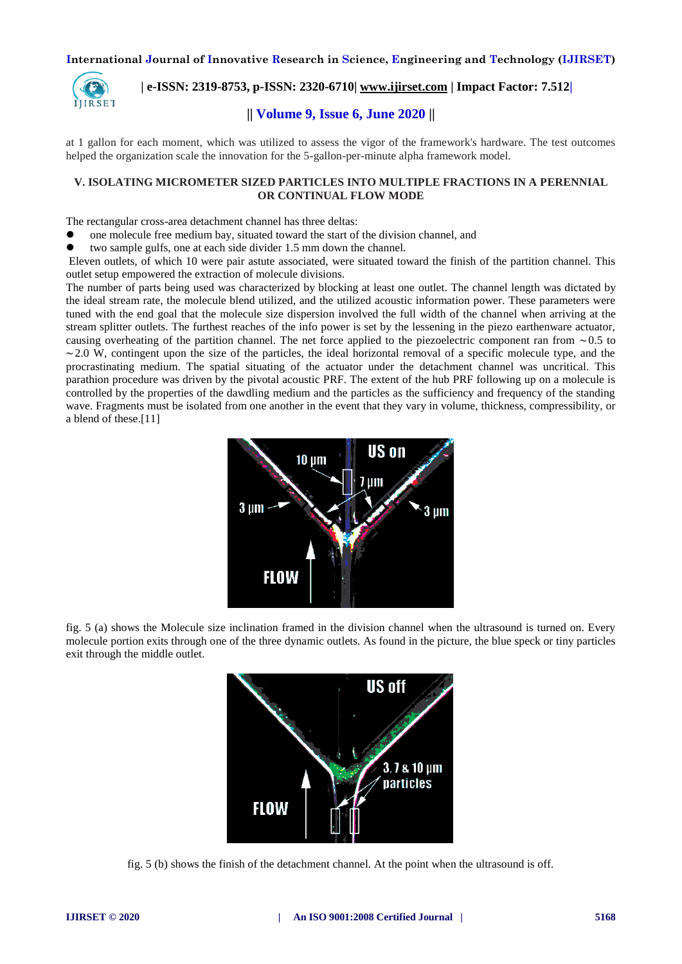

 **| e-ISSN: 2319-8753, p-ISSN: 2320-6710| [www.ijirset.com](http://www.ijirset.com/) | Impact Factor: 7.512|**

# **|| Volume 9, Issue 6, June 2020 ||**

at 1 gallon for each moment, which was utilized to assess the vigor of the framework's hardware. The test outcomes helped the organization scale the innovation for the 5-gallon-per-minute alpha framework model.

## **V. ISOLATING MICROMETER SIZED PARTICLES INTO MULTIPLE FRACTIONS IN A PERENNIAL OR CONTINUAL FLOW MODE**

The rectangular cross-area detachment channel has three deltas:

one molecule free medium bay, situated toward the start of the division channel, and

two sample gulfs, one at each side divider 1.5 mm down the channel.

Eleven outlets, of which 10 were pair astute associated, were situated toward the finish of the partition channel. This outlet setup empowered the extraction of molecule divisions.

The number of parts being used was characterized by blocking at least one outlet. The channel length was dictated by the ideal stream rate, the molecule blend utilized, and the utilized acoustic information power. These parameters were tuned with the end goal that the molecule size dispersion involved the full width of the channel when arriving at the stream splitter outlets. The furthest reaches of the info power is set by the lessening in the piezo earthenware actuator, causing overheating of the partition channel. The net force applied to the piezoelectric component ran from ∼0.5 to  $~2.0$  W, contingent upon the size of the particles, the ideal horizontal removal of a specific molecule type, and the procrastinating medium. The spatial situating of the actuator under the detachment channel was uncritical. This parathion procedure was driven by the pivotal acoustic PRF. The extent of the hub PRF following up on a molecule is controlled by the properties of the dawdling medium and the particles as the sufficiency and frequency of the standing wave. Fragments must be isolated from one another in the event that they vary in volume, thickness, compressibility, or a blend of these.[11]



fig. 5 (a) shows the Molecule size inclination framed in the division channel when the ultrasound is turned on. Every molecule portion exits through one of the three dynamic outlets. As found in the picture, the blue speck or tiny particles exit through the middle outlet.



fig. 5 (b) shows the finish of the detachment channel. At the point when the ultrasound is off.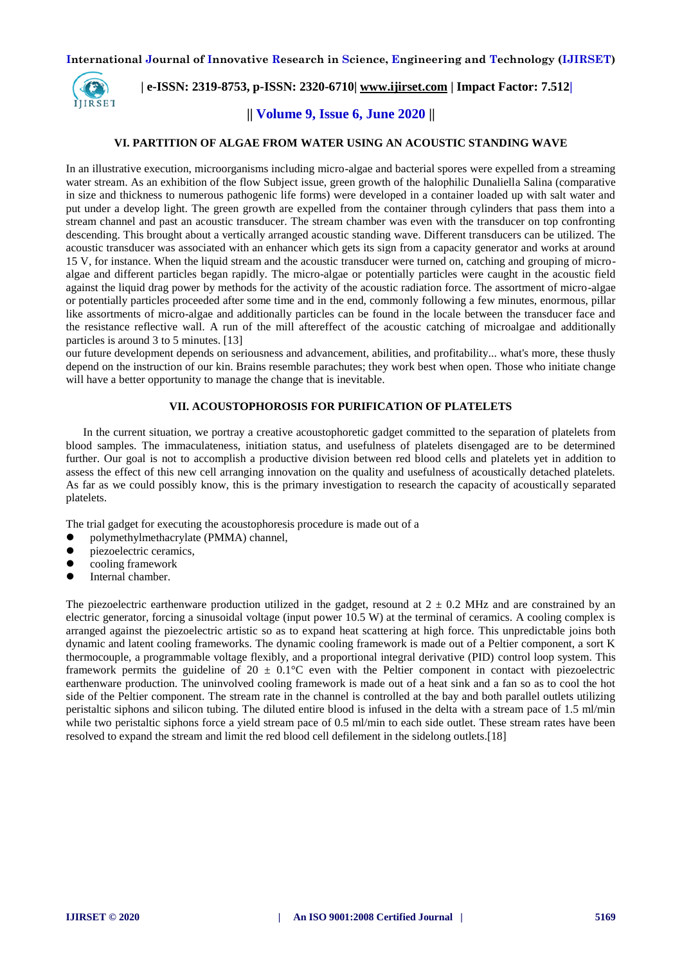

# **| e-ISSN: 2319-8753, p-ISSN: 2320-6710| [www.ijirset.com](http://www.ijirset.com/) | Impact Factor: 7.512|**

## **|| Volume 9, Issue 6, June 2020 ||**

### **VI. PARTITION OF ALGAE FROM WATER USING AN ACOUSTIC STANDING WAVE**

In an illustrative execution, microorganisms including micro-algae and bacterial spores were expelled from a streaming water stream. As an exhibition of the flow Subject issue, green growth of the halophilic Dunaliella Salina (comparative in size and thickness to numerous pathogenic life forms) were developed in a container loaded up with salt water and put under a develop light. The green growth are expelled from the container through cylinders that pass them into a stream channel and past an acoustic transducer. The stream chamber was even with the transducer on top confronting descending. This brought about a vertically arranged acoustic standing wave. Different transducers can be utilized. The acoustic transducer was associated with an enhancer which gets its sign from a capacity generator and works at around 15 V, for instance. When the liquid stream and the acoustic transducer were turned on, catching and grouping of microalgae and different particles began rapidly. The micro-algae or potentially particles were caught in the acoustic field against the liquid drag power by methods for the activity of the acoustic radiation force. The assortment of micro-algae or potentially particles proceeded after some time and in the end, commonly following a few minutes, enormous, pillar like assortments of micro-algae and additionally particles can be found in the locale between the transducer face and the resistance reflective wall. A run of the mill aftereffect of the acoustic catching of microalgae and additionally particles is around 3 to 5 minutes. [13]

our future development depends on seriousness and advancement, abilities, and profitability... what's more, these thusly depend on the instruction of our kin. Brains resemble parachutes; they work best when open. Those who initiate change will have a better opportunity to manage the change that is inevitable.

## **VII. ACOUSTOPHOROSIS FOR PURIFICATION OF PLATELETS**

In the current situation, we portray a creative acoustophoretic gadget committed to the separation of platelets from blood samples. The immaculateness, initiation status, and usefulness of platelets disengaged are to be determined further. Our goal is not to accomplish a productive division between red blood cells and platelets yet in addition to assess the effect of this new cell arranging innovation on the quality and usefulness of acoustically detached platelets. As far as we could possibly know, this is the primary investigation to research the capacity of acoustically separated platelets.

The trial gadget for executing the acoustophoresis procedure is made out of a

- polymethylmethacrylate (PMMA) channel,
- $\bullet$  piezoelectric ceramics,
- cooling framework
- Internal chamber.

The piezoelectric earthenware production utilized in the gadget, resound at  $2 \pm 0.2$  MHz and are constrained by an electric generator, forcing a sinusoidal voltage (input power 10.5 W) at the terminal of ceramics. A cooling complex is arranged against the piezoelectric artistic so as to expand heat scattering at high force. This unpredictable joins both dynamic and latent cooling frameworks. The dynamic cooling framework is made out of a Peltier component, a sort K thermocouple, a programmable voltage flexibly, and a proportional integral derivative (PID) control loop system. This framework permits the guideline of  $20 \pm 0.1$ °C even with the Peltier component in contact with piezoelectric earthenware production. The uninvolved cooling framework is made out of a heat sink and a fan so as to cool the hot side of the Peltier component. The stream rate in the channel is controlled at the bay and both parallel outlets utilizing peristaltic siphons and silicon tubing. The diluted entire blood is infused in the delta with a stream pace of 1.5 ml/min while two peristaltic siphons force a yield stream pace of 0.5 ml/min to each side outlet. These stream rates have been resolved to expand the stream and limit the red blood cell defilement in the sidelong outlets.[18]